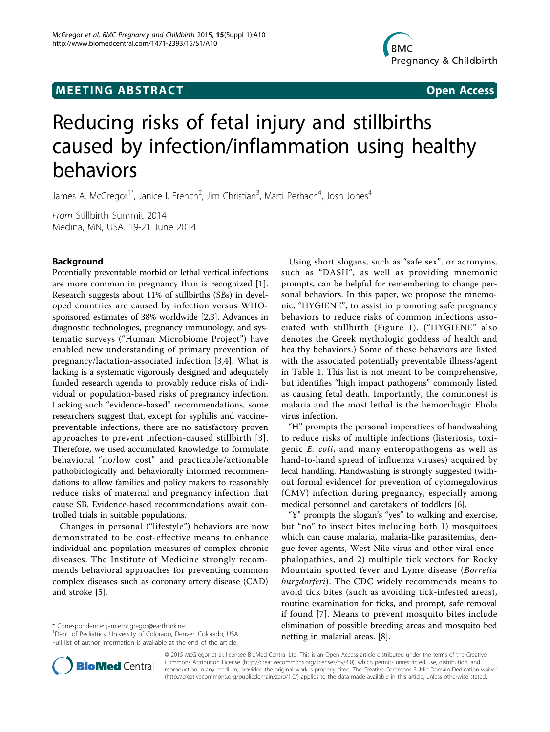# **MEETING ABSTRACT CONSUMING ABSTRACT**



# Reducing risks of fetal injury and stillbirths caused by infection/inflammation using healthy behaviors

James A. McGregor<sup>1\*</sup>, Janice I. French<sup>2</sup>, Jim Christian<sup>3</sup>, Marti Perhach<sup>4</sup>, Josh Jones<sup>4</sup>

From Stillbirth Summit 2014 Medina, MN, USA. 19-21 June 2014

# Background

Potentially preventable morbid or lethal vertical infections are more common in pregnancy than is recognized [\[1](#page-2-0)]. Research suggests about 11% of stillbirths (SBs) in developed countries are caused by infection versus WHOsponsored estimates of 38% worldwide [[2](#page-2-0),[3](#page-2-0)]. Advances in diagnostic technologies, pregnancy immunology, and systematic surveys ("Human Microbiome Project") have enabled new understanding of primary prevention of pregnancy/lactation-associated infection [\[3](#page-2-0),[4\]](#page-2-0). What is lacking is a systematic vigorously designed and adequately funded research agenda to provably reduce risks of individual or population-based risks of pregnancy infection. Lacking such "evidence-based" recommendations, some researchers suggest that, except for syphilis and vaccinepreventable infections, there are no satisfactory proven approaches to prevent infection-caused stillbirth [[3\]](#page-2-0). Therefore, we used accumulated knowledge to formulate behavioral "no/low cost" and practicable/actionable pathobiologically and behaviorally informed recommendations to allow families and policy makers to reasonably reduce risks of maternal and pregnancy infection that cause SB. Evidence-based recommendations await controlled trials in suitable populations.

Changes in personal ("lifestyle") behaviors are now demonstrated to be cost-effective means to enhance individual and population measures of complex chronic diseases. The Institute of Medicine strongly recommends behavioral approaches for preventing common complex diseases such as coronary artery disease (CAD) and stroke [\[5](#page-2-0)].

\* Correspondence: [jamiemcgregor@earthlink.net](mailto:jamiemcgregor@earthlink.net)

<sup>1</sup>Dept. of Pediatrics, University of Colorado, Denver, Colorado, USA Full list of author information is available at the end of the article

Using short slogans, such as "safe sex", or acronyms, such as "DASH", as well as providing mnemonic prompts, can be helpful for remembering to change personal behaviors. In this paper, we propose the mnemonic, "HYGIENE", to assist in promoting safe pregnancy behaviors to reduce risks of common infections associated with stillbirth (Figure [1\)](#page-1-0). ("HYGIENE" also denotes the Greek mythologic goddess of health and healthy behaviors.) Some of these behaviors are listed with the associated potentially preventable illness/agent in Table [1](#page-1-0). This list is not meant to be comprehensive, but identifies "high impact pathogens" commonly listed as causing fetal death. Importantly, the commonest is malaria and the most lethal is the hemorrhagic Ebola virus infection.

"H" prompts the personal imperatives of handwashing to reduce risks of multiple infections (listeriosis, toxigenic E. coli, and many enteropathogens as well as hand-to-hand spread of influenza viruses) acquired by fecal handling. Handwashing is strongly suggested (without formal evidence) for prevention of cytomegalovirus (CMV) infection during pregnancy, especially among medical personnel and caretakers of toddlers [\[6](#page-2-0)].

"Y" prompts the slogan's "yes" to walking and exercise, but "no" to insect bites including both 1) mosquitoes which can cause malaria, malaria-like parasitemias, dengue fever agents, West Nile virus and other viral encephalopathies, and 2) multiple tick vectors for Rocky Mountain spotted fever and Lyme disease (Borrelia burgdorferi). The CDC widely recommends means to avoid tick bites (such as avoiding tick-infested areas), routine examination for ticks, and prompt, safe removal if found [[7](#page-2-0)]. Means to prevent mosquito bites include elimination of possible breeding areas and mosquito bed netting in malarial areas. [[8\]](#page-2-0).



© 2015 McGregor et al; licensee BioMed Central Ltd. This is an Open Access article distributed under the terms of the Creative Commons Attribution License [\(http://creativecommons.org/licenses/by/4.0](http://creativecommons.org/licenses/by/4.0)), which permits unrestricted use, distribution, and reproduction in any medium, provided the original work is properly cited. The Creative Commons Public Domain Dedication waiver [\(http://creativecommons.org/publicdomain/zero/1.0/](http://creativecommons.org/publicdomain/zero/1.0/)) applies to the data made available in this article, unless otherwise stated.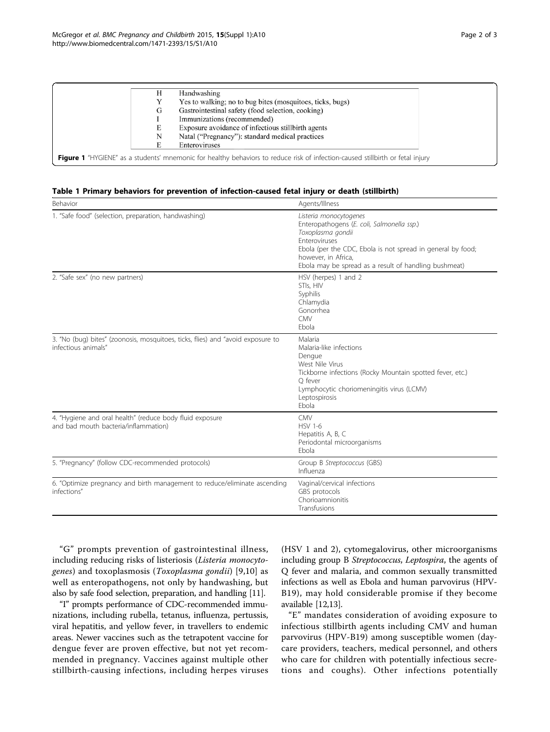<span id="page-1-0"></span>

|   | Handwashing                                                                                                                    |
|---|--------------------------------------------------------------------------------------------------------------------------------|
|   | Yes to walking; no to bug bites (mosquitoes, ticks, bugs)                                                                      |
| G | Gastrointestinal safety (food selection, cooking)                                                                              |
|   | Immunizations (recommended)                                                                                                    |
|   | Exposure avoidance of infectious still birth agents                                                                            |
| Ν | Natal ("Pregnancy"): standard medical practices                                                                                |
|   | Enteroviruses                                                                                                                  |
|   | Figure 1 "HYGIENE" as a students' mnemonic for healthy behaviors to reduce risk of infection-caused stillbirth or fetal injury |

## Table 1 Primary behaviors for prevention of infection-caused fetal injury or death (stillbirth)

| Behavior                                                                                               | Agents/Illness                                                                                                                                                                                                                                                   |
|--------------------------------------------------------------------------------------------------------|------------------------------------------------------------------------------------------------------------------------------------------------------------------------------------------------------------------------------------------------------------------|
| 1. "Safe food" (selection, preparation, handwashing)                                                   | Listeria monocytogenes<br>Enteropathogens (E. coli, Salmonella ssp.)<br>Toxoplasma gondii<br><b>Enteroviruses</b><br>Ebola (per the CDC, Ebola is not spread in general by food;<br>however, in Africa,<br>Ebola may be spread as a result of handling bushmeat) |
| 2. "Safe sex" (no new partners)                                                                        | HSV (herpes) 1 and 2<br>STIs, HIV<br>Syphilis<br>Chlamydia<br>Gonorrhea<br><b>CMV</b><br>Ebola                                                                                                                                                                   |
| 3. "No (bug) bites" (zoonosis, mosquitoes, ticks, flies) and "avoid exposure to<br>infectious animals" | Malaria<br>Malaria-like infections<br>Dengue<br>West Nile Virus<br>Tickborne infections (Rocky Mountain spotted fever, etc.)<br>O fever<br>Lymphocytic choriomeningitis virus (LCMV)<br>Leptospirosis<br>Fbola                                                   |
| 4. "Hygiene and oral health" (reduce body fluid exposure<br>and bad mouth bacteria/inflammation)       | <b>CMV</b><br><b>HSV 1-6</b><br>Hepatitis A, B, C<br>Periodontal microorganisms<br>Ebola                                                                                                                                                                         |
| 5. "Pregnancy" (follow CDC-recommended protocols)                                                      | Group B Streptococcus (GBS)<br>Influenza                                                                                                                                                                                                                         |
| 6. "Optimize pregnancy and birth management to reduce/eliminate ascending<br>infections"               | Vaginal/cervical infections<br>GBS protocols<br>Chorioamnionitis<br>Transfusions                                                                                                                                                                                 |

"G" prompts prevention of gastrointestinal illness, including reducing risks of listeriosis (Listeria monocytogenes) and toxoplasmosis (Toxoplasma gondii) [\[9,10\]](#page-2-0) as well as enteropathogens, not only by handwashing, but also by safe food selection, preparation, and handling [\[11\]](#page-2-0).

"I" prompts performance of CDC-recommended immunizations, including rubella, tetanus, influenza, pertussis, viral hepatitis, and yellow fever, in travellers to endemic areas. Newer vaccines such as the tetrapotent vaccine for dengue fever are proven effective, but not yet recommended in pregnancy. Vaccines against multiple other stillbirth-causing infections, including herpes viruses (HSV 1 and 2), cytomegalovirus, other microorganisms including group B Streptococcus, Leptospira, the agents of Q fever and malaria, and common sexually transmitted infections as well as Ebola and human parvovirus (HPV-B19), may hold considerable promise if they become available [[12,13](#page-2-0)].

"E" mandates consideration of avoiding exposure to infectious stillbirth agents including CMV and human parvovirus (HPV-B19) among susceptible women (daycare providers, teachers, medical personnel, and others who care for children with potentially infectious secretions and coughs). Other infections potentially